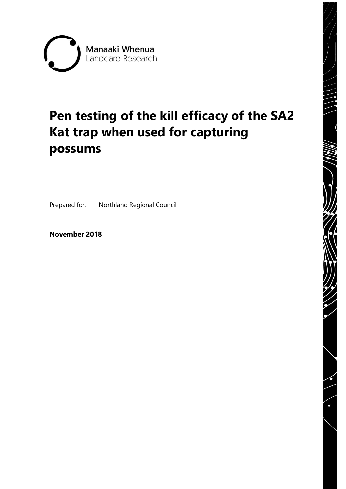

# **Pen testing of the kill efficacy of the SA2 Kat trap when used for capturing possums**

Prepared for: Northland Regional Council

**November 2018**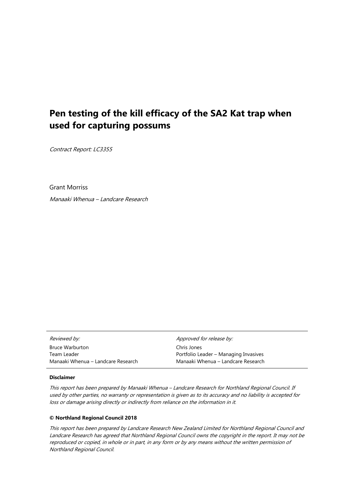## **Pen testing of the kill efficacy of the SA2 Kat trap when used for capturing possums**

Contract Report: LC3355

Grant Morriss

Manaaki Whenua – Landcare Research

| <i>Reviewed by:</i>                | Approved for release by:              |
|------------------------------------|---------------------------------------|
| <b>Bruce Warburton</b>             | Chris Jones                           |
| Team Leader                        | Portfolio Leader – Managing Invasives |
| Manaaki Whenua – Landcare Research | Manaaki Whenua – Landcare Research    |

#### **Disclaimer**

This report has been prepared by Manaaki Whenua – Landcare Research for Northland Regional Council. If used by other parties, no warranty or representation is given as to its accuracy and no liability is accepted for loss or damage arising directly or indirectly from reliance on the information in it.

#### **© Northland Regional Council 2018**

This report has been prepared by Landcare Research New Zealand Limited for Northland Regional Council and Landcare Research has agreed that Northland Regional Council owns the copyright in the report. It may not be reproduced or copied, in whole or in part, in any form or by any means without the written permission of Northland Regional Council.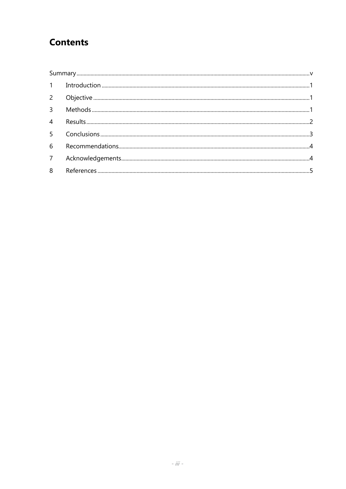# **Contents**

| $\overline{4}$  |  |
|-----------------|--|
|                 |  |
| $6\overline{6}$ |  |
| $\overline{7}$  |  |
| 8               |  |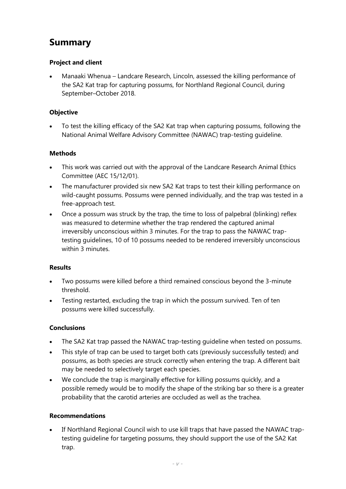# <span id="page-6-0"></span>**Summary**

#### **Project and client**

• Manaaki Whenua – Landcare Research, Lincoln, assessed the killing performance of the SA2 Kat trap for capturing possums, for Northland Regional Council, during September–October 2018.

#### **Objective**

• To test the killing efficacy of the SA2 Kat trap when capturing possums, following the National Animal Welfare Advisory Committee (NAWAC) trap-testing guideline.

#### **Methods**

- This work was carried out with the approval of the Landcare Research Animal Ethics Committee (AEC 15/12/01).
- The manufacturer provided six new SA2 Kat traps to test their killing performance on wild-caught possums. Possums were penned individually, and the trap was tested in a free-approach test.
- Once a possum was struck by the trap, the time to loss of palpebral (blinking) reflex was measured to determine whether the trap rendered the captured animal irreversibly unconscious within 3 minutes. For the trap to pass the NAWAC traptesting guidelines, 10 of 10 possums needed to be rendered irreversibly unconscious within 3 minutes.

#### **Results**

- Two possums were killed before a third remained conscious beyond the 3-minute threshold.
- Testing restarted, excluding the trap in which the possum survived. Ten of ten possums were killed successfully.

#### **Conclusions**

- The SA2 Kat trap passed the NAWAC trap-testing guideline when tested on possums.
- This style of trap can be used to target both cats (previously successfully tested) and possums, as both species are struck correctly when entering the trap. A different bait may be needed to selectively target each species.
- We conclude the trap is marginally effective for killing possums quickly, and a possible remedy would be to modify the shape of the striking bar so there is a greater probability that the carotid arteries are occluded as well as the trachea.

#### **Recommendations**

If Northland Regional Council wish to use kill traps that have passed the NAWAC traptesting guideline for targeting possums, they should support the use of the SA2 Kat trap.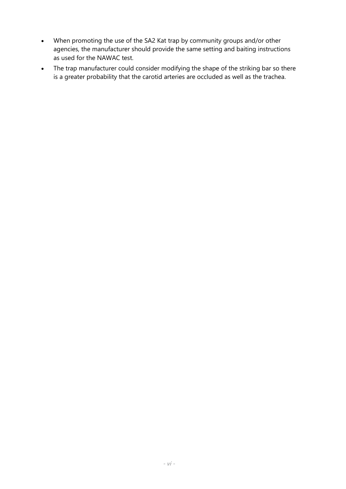- When promoting the use of the SA2 Kat trap by community groups and/or other agencies, the manufacturer should provide the same setting and baiting instructions as used for the NAWAC test.
- The trap manufacturer could consider modifying the shape of the striking bar so there is a greater probability that the carotid arteries are occluded as well as the trachea.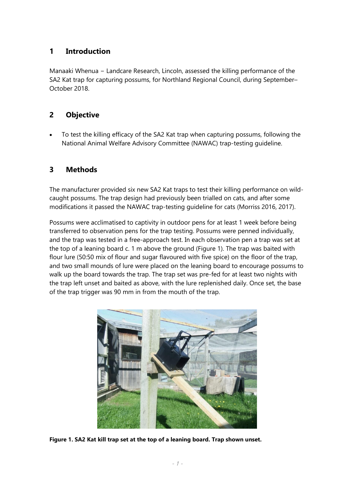#### <span id="page-8-0"></span>**1 Introduction**

Manaaki Whenua − Landcare Research, Lincoln, assessed the killing performance of the SA2 Kat trap for capturing possums, for Northland Regional Council, during September– October 2018.

### <span id="page-8-1"></span>**2 Objective**

• To test the killing efficacy of the SA2 Kat trap when capturing possums, following the National Animal Welfare Advisory Committee (NAWAC) trap-testing guideline.

#### <span id="page-8-2"></span>**3 Methods**

The manufacturer provided six new SA2 Kat traps to test their killing performance on wildcaught possums. The trap design had previously been trialled on cats, and after some modifications it passed the NAWAC trap-testing guideline for cats (Morriss 2016, 2017).

Possums were acclimatised to captivity in outdoor pens for at least 1 week before being transferred to observation pens for the trap testing. Possums were penned individually, and the trap was tested in a free-approach test. In each observation pen a trap was set at the top of a leaning board c. 1 m above the ground (Figure 1). The trap was baited with flour lure (50:50 mix of flour and sugar flavoured with five spice) on the floor of the trap, and two small mounds of lure were placed on the leaning board to encourage possums to walk up the board towards the trap. The trap set was pre-fed for at least two nights with the trap left unset and baited as above, with the lure replenished daily. Once set, the base of the trap trigger was 90 mm in from the mouth of the trap.



**Figure 1. SA2 Kat kill trap set at the top of a leaning board. Trap shown unset.**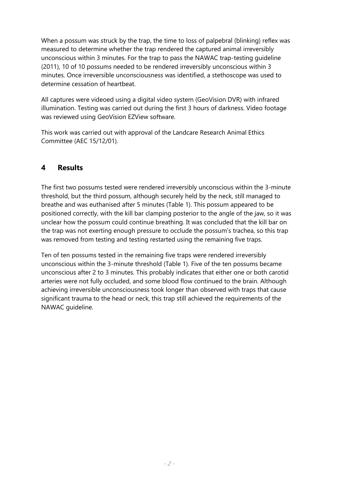When a possum was struck by the trap, the time to loss of palpebral (blinking) reflex was measured to determine whether the trap rendered the captured animal irreversibly unconscious within 3 minutes. For the trap to pass the NAWAC trap-testing guideline (2011), 10 of 10 possums needed to be rendered irreversibly unconscious within 3 minutes. Once irreversible unconsciousness was identified, a stethoscope was used to determine cessation of heartbeat.

All captures were videoed using a digital video system (GeoVision DVR) with infrared illumination. Testing was carried out during the first 3 hours of darkness. Video footage was reviewed using GeoVision EZView software.

This work was carried out with approval of the Landcare Research Animal Ethics Committee (AEC 15/12/01).

#### <span id="page-9-0"></span>**4 Results**

The first two possums tested were rendered irreversibly unconscious within the 3-minute threshold, but the third possum, although securely held by the neck, still managed to breathe and was euthanised after 5 minutes (Table 1). This possum appeared to be positioned correctly, with the kill bar clamping posterior to the angle of the jaw, so it was unclear how the possum could continue breathing. It was concluded that the kill bar on the trap was not exerting enough pressure to occlude the possum's trachea, so this trap was removed from testing and testing restarted using the remaining five traps.

Ten of ten possums tested in the remaining five traps were rendered irreversibly unconscious within the 3-minute threshold (Table 1). Five of the ten possums became unconscious after 2 to 3 minutes. This probably indicates that either one or both carotid arteries were not fully occluded, and some blood flow continued to the brain. Although achieving irreversible unconsciousness took longer than observed with traps that cause significant trauma to the head or neck, this trap still achieved the requirements of the NAWAC guideline.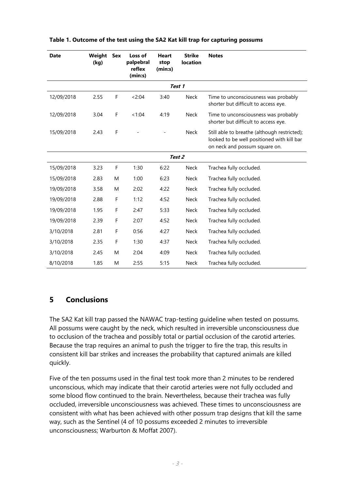| <b>Date</b> | Weight<br>(kg) | Sex | Loss of<br>palpebral<br>reflex<br>(min:s) | <b>Heart</b><br>stop<br>(min:s) | <b>Strike</b><br>location | <b>Notes</b>                                                                                                                |  |  |  |  |
|-------------|----------------|-----|-------------------------------------------|---------------------------------|---------------------------|-----------------------------------------------------------------------------------------------------------------------------|--|--|--|--|
| Test 1      |                |     |                                           |                                 |                           |                                                                                                                             |  |  |  |  |
| 12/09/2018  | 2.55           | F   | 2:04                                      | 3:40                            | <b>Neck</b>               | Time to unconsciousness was probably<br>shorter but difficult to access eye.                                                |  |  |  |  |
| 12/09/2018  | 3.04           | F   | <1:04                                     | 4:19                            | <b>Neck</b>               | Time to unconsciousness was probably<br>shorter but difficult to access eye.                                                |  |  |  |  |
| 15/09/2018  | 2.43           | F   |                                           |                                 | <b>Neck</b>               | Still able to breathe (although restricted);<br>looked to be well positioned with kill bar<br>on neck and possum square on. |  |  |  |  |
| Test 2      |                |     |                                           |                                 |                           |                                                                                                                             |  |  |  |  |
| 15/09/2018  | 3.23           | F   | 1:30                                      | 6:22                            | <b>Neck</b>               | Trachea fully occluded.                                                                                                     |  |  |  |  |
| 15/09/2018  | 2.83           | M   | 1:00                                      | 6:23                            | Neck                      | Trachea fully occluded.                                                                                                     |  |  |  |  |
| 19/09/2018  | 3.58           | M   | 2:02                                      | 4:22                            | Neck                      | Trachea fully occluded.                                                                                                     |  |  |  |  |
| 19/09/2018  | 2.88           | F   | 1:12                                      | 4:52                            | <b>Neck</b>               | Trachea fully occluded.                                                                                                     |  |  |  |  |
| 19/09/2018  | 1.95           | F   | 2:47                                      | 5:33                            | <b>Neck</b>               | Trachea fully occluded.                                                                                                     |  |  |  |  |
| 19/09/2018  | 2.39           | F   | 2:07                                      | 4:52                            | <b>Neck</b>               | Trachea fully occluded.                                                                                                     |  |  |  |  |
| 3/10/2018   | 2.81           | F   | 0:56                                      | 4:27                            | Neck                      | Trachea fully occluded.                                                                                                     |  |  |  |  |
| 3/10/2018   | 2.35           | F   | 1:30                                      | 4:37                            | <b>Neck</b>               | Trachea fully occluded.                                                                                                     |  |  |  |  |
| 3/10/2018   | 2.45           | M   | 2:04                                      | 4:09                            | <b>Neck</b>               | Trachea fully occluded.                                                                                                     |  |  |  |  |
| 8/10/2018   | 1.85           | M   | 2:55                                      | 5:15                            | <b>Neck</b>               | Trachea fully occluded.                                                                                                     |  |  |  |  |

#### **Table 1. Outcome of the test using the SA2 Kat kill trap for capturing possums**

#### <span id="page-10-0"></span>**5 Conclusions**

The SA2 Kat kill trap passed the NAWAC trap-testing guideline when tested on possums. All possums were caught by the neck, which resulted in irreversible unconsciousness due to occlusion of the trachea and possibly total or partial occlusion of the carotid arteries. Because the trap requires an animal to push the trigger to fire the trap, this results in consistent kill bar strikes and increases the probability that captured animals are killed quickly.

Five of the ten possums used in the final test took more than 2 minutes to be rendered unconscious, which may indicate that their carotid arteries were not fully occluded and some blood flow continued to the brain. Nevertheless, because their trachea was fully occluded, irreversible unconsciousness was achieved. These times to unconsciousness are consistent with what has been achieved with other possum trap designs that kill the same way, such as the Sentinel (4 of 10 possums exceeded 2 minutes to irreversible unconsciousness; Warburton & Moffat 2007).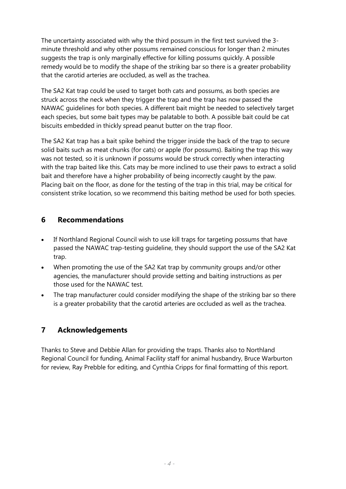The uncertainty associated with why the third possum in the first test survived the 3 minute threshold and why other possums remained conscious for longer than 2 minutes suggests the trap is only marginally effective for killing possums quickly. A possible remedy would be to modify the shape of the striking bar so there is a greater probability that the carotid arteries are occluded, as well as the trachea.

The SA2 Kat trap could be used to target both cats and possums, as both species are struck across the neck when they trigger the trap and the trap has now passed the NAWAC guidelines for both species. A different bait might be needed to selectively target each species, but some bait types may be palatable to both. A possible bait could be cat biscuits embedded in thickly spread peanut butter on the trap floor.

The SA2 Kat trap has a bait spike behind the trigger inside the back of the trap to secure solid baits such as meat chunks (for cats) or apple (for possums). Baiting the trap this way was not tested, so it is unknown if possums would be struck correctly when interacting with the trap baited like this. Cats may be more inclined to use their paws to extract a solid bait and therefore have a higher probability of being incorrectly caught by the paw. Placing bait on the floor, as done for the testing of the trap in this trial, may be critical for consistent strike location, so we recommend this baiting method be used for both species.

#### <span id="page-11-0"></span>**6 Recommendations**

- If Northland Regional Council wish to use kill traps for targeting possums that have passed the NAWAC trap-testing guideline, they should support the use of the SA2 Kat trap.
- When promoting the use of the SA2 Kat trap by community groups and/or other agencies, the manufacturer should provide setting and baiting instructions as per those used for the NAWAC test.
- The trap manufacturer could consider modifying the shape of the striking bar so there is a greater probability that the carotid arteries are occluded as well as the trachea.

### <span id="page-11-1"></span>**7 Acknowledgements**

Thanks to Steve and Debbie Allan for providing the traps. Thanks also to Northland Regional Council for funding, Animal Facility staff for animal husbandry, Bruce Warburton for review, Ray Prebble for editing, and Cynthia Cripps for final formatting of this report.